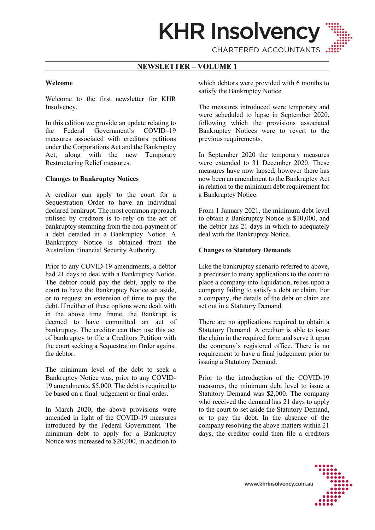

CHARTERED ACCOUNTANTS

# NEWSLETTER – VOLUME 1

### Welcome

Welcome to the first newsletter for KHR Insolvency.

In this edition we provide an update relating to the Federal Government's COVID–19 measures associated with creditors petitions under the Corporations Act and the Bankruptcy Act, along with the new Temporary Restructuring Relief measures.

## Changes to Bankruptcy Notices

A creditor can apply to the court for a Sequestration Order to have an individual declared bankrupt. The most common approach utilised by creditors is to rely on the act of bankruptcy stemming from the non-payment of a debt detailed in a Bankruptcy Notice. A Bankruptcy Notice is obtained from the Australian Financial Security Authority.

Prior to any COVID-19 amendments, a debtor had 21 days to deal with a Bankruptcy Notice. The debtor could pay the debt, apply to the court to have the Bankruptcy Notice set aside, or to request an extension of time to pay the debt. If neither of these options were dealt with in the above time frame, the Bankrupt is deemed to have committed an act of bankruptcy. The creditor can then use this act of bankruptcy to file a Creditors Petition with the court seeking a Sequestration Order against the debtor.

The minimum level of the debt to seek a Bankruptcy Notice was, prior to any COVID-19 amendments, \$5,000. The debt is required to be based on a final judgement or final order.

In March 2020, the above provisions were amended in light of the COVID-19 measures introduced by the Federal Government. The minimum debt to apply for a Bankruptcy Notice was increased to \$20,000, in addition to which debtors were provided with 6 months to satisfy the Bankruptcy Notice.

The measures introduced were temporary and were scheduled to lapse in September 2020, following which the provisions associated Bankruptcy Notices were to revert to the previous requirements.

In September 2020 the temporary measures were extended to 31 December 2020. These measures have now lapsed, however there has now been an amendment to the Bankruptcy Act in relation to the minimum debt requirement for a Bankruptcy Notice.

From 1 January 2021, the minimum debt level to obtain a Bankruptcy Notice is \$10,000, and the debtor has 21 days in which to adequately deal with the Bankruptcy Notice.

#### Changes to Statutory Demands

Like the bankruptcy scenario referred to above, a precursor to many applications to the court to place a company into liquidation, relies upon a company failing to satisfy a debt or claim. For a company, the details of the debt or claim are set out in a Statutory Demand.

There are no applications required to obtain a Statutory Demand. A creditor is able to issue the claim in the required form and serve it upon the company's registered office. There is no requirement to have a final judgement prior to issuing a Statutory Demand.

Prior to the introduction of the COVID-19 measures, the minimum debt level to issue a Statutory Demand was \$2,000. The company who received the demand has 21 days to apply to the court to set aside the Statutory Demand, or to pay the debt. In the absence of the company resolving the above matters within 21 days, the creditor could then file a creditors